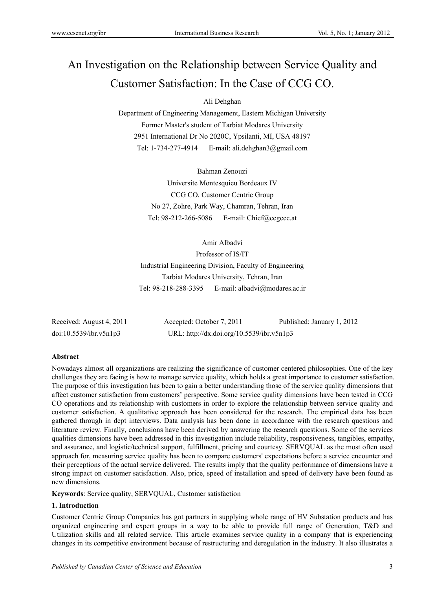# An Investigation on the Relationship between Service Quality and Customer Satisfaction: In the Case of CCG CO.

## Ali Dehghan

Department of Engineering Management, Eastern Michigan University Former Master's student of Tarbiat Modares University 2951 International Dr No 2020C, Ypsilanti, MI, USA 48197 Tel: 1-734-277-4914 E-mail: ali.dehghan3@gmail.com

> Bahman Zenouzi Universite Montesquieu Bordeaux IV CCG CO, Customer Centric Group No 27, Zohre, Park Way, Chamran, Tehran, Iran Tel: 98-212-266-5086 E-mail: Chief@ccgccc.at

Amir Albadvi Professor of IS/IT Industrial Engineering Division, Faculty of Engineering Tarbiat Modares University, Tehran, Iran Tel: 98-218-288-3395 E-mail: albadvi@modares.ac.ir

Received: August 4, 2011 Accepted: October 7, 2011 Published: January 1, 2012 doi:10.5539/ibr.v5n1p3 URL: http://dx.doi.org/10.5539/ibr.v5n1p3

#### **Abstract**

Nowadays almost all organizations are realizing the significance of customer centered philosophies. One of the key challenges they are facing is how to manage service quality, which holds a great importance to customer satisfaction. The purpose of this investigation has been to gain a better understanding those of the service quality dimensions that affect customer satisfaction from customers' perspective. Some service quality dimensions have been tested in CCG CO operations and its relationship with customers in order to explore the relationship between service quality and customer satisfaction. A qualitative approach has been considered for the research. The empirical data has been gathered through in dept interviews. Data analysis has been done in accordance with the research questions and literature review. Finally, conclusions have been derived by answering the research questions. Some of the services qualities dimensions have been addressed in this investigation include reliability, responsiveness, tangibles, empathy, and assurance, and logistic/technical support, fulfillment, pricing and courtesy. SERVQUAL as the most often used approach for, measuring service quality has been to compare customers' expectations before a service encounter and their perceptions of the actual service delivered. The results imply that the quality performance of dimensions have a strong impact on customer satisfaction. Also, price, speed of installation and speed of delivery have been found as new dimensions.

**Keywords**: Service quality, SERVQUAL, Customer satisfaction

## **1. Introduction**

Customer Centric Group Companies has got partners in supplying whole range of HV Substation products and has organized engineering and expert groups in a way to be able to provide full range of Generation, T&D and Utilization skills and all related service. This article examines service quality in a company that is experiencing changes in its competitive environment because of restructuring and deregulation in the industry. It also illustrates a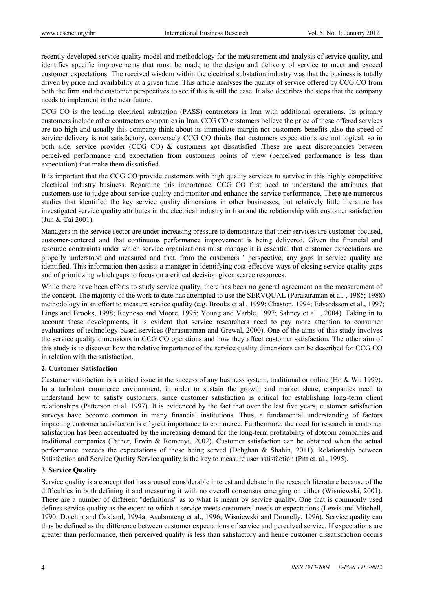recently developed service quality model and methodology for the measurement and analysis of service quality, and identifies specific improvements that must be made to the design and delivery of service to meet and exceed customer expectations. The received wisdom within the electrical substation industry was that the business is totally driven by price and availability at a given time. This article analyses the quality of service offered by CCG CO from both the firm and the customer perspectives to see if this is still the case. It also describes the steps that the company needs to implement in the near future.

CCG CO is the leading electrical substation (PASS) contractors in Iran with additional operations. Its primary customers include other contractors companies in Iran. CCG CO customers believe the price of these offered services are too high and usually this company think about its immediate margin not customers benefits ,also the speed of service delivery is not satisfactory, conversely CCG CO thinks that customers expectations are not logical, so in both side, service provider (CCG CO) & customers got dissatisfied .These are great discrepancies between perceived performance and expectation from customers points of view (perceived performance is less than expectation) that make them dissatisfied.

It is important that the CCG CO provide customers with high quality services to survive in this highly competitive electrical industry business. Regarding this importance, CCG CO first need to understand the attributes that customers use to judge about service quality and monitor and enhance the service performance. There are numerous studies that identified the key service quality dimensions in other businesses, but relatively little literature has investigated service quality attributes in the electrical industry in Iran and the relationship with customer satisfaction (Jun & Cai 2001).

Managers in the service sector are under increasing pressure to demonstrate that their services are customer-focused, customer-centered and that continuous performance improvement is being delivered. Given the financial and resource constraints under which service organizations must manage it is essential that customer expectations are properly understood and measured and that, from the customers ' perspective, any gaps in service quality are identified. This information then assists a manager in identifying cost-effective ways of closing service quality gaps and of prioritizing which gaps to focus on a critical decision given scarce resources.

While there have been efforts to study service quality, there has been no general agreement on the measurement of the concept. The majority of the work to date has attempted to use the SERVQUAL (Parasuraman et al. , 1985; 1988) methodology in an effort to measure service quality (e.g. Brooks et al., 1999; Chaston, 1994; Edvardsson et al., 1997; Lings and Brooks, 1998; Reynoso and Moore, 1995; Young and Varble, 1997; Sahney et al. , 2004). Taking in to account these developments, it is evident that service researchers need to pay more attention to consumer evaluations of technology-based services (Parasuraman and Grewal, 2000). One of the aims of this study involves the service quality dimensions in CCG CO operations and how they affect customer satisfaction. The other aim of this study is to discover how the relative importance of the service quality dimensions can be described for CCG CO in relation with the satisfaction.

#### **2. Customer Satisfaction**

Customer satisfaction is a critical issue in the success of any business system, traditional or online (Ho & Wu 1999). In a turbulent commerce environment, in order to sustain the growth and market share, companies need to understand how to satisfy customers, since customer satisfaction is critical for establishing long-term client relationships (Patterson et al. 1997). It is evidenced by the fact that over the last five years, customer satisfaction surveys have become common in many financial institutions. Thus, a fundamental understanding of factors impacting customer satisfaction is of great importance to commerce. Furthermore, the need for research in customer satisfaction has been accentuated by the increasing demand for the long-term profitability of dotcom companies and traditional companies (Pather, Erwin & Remenyi, 2002). Customer satisfaction can be obtained when the actual performance exceeds the expectations of those being served (Dehghan & Shahin, 2011). Relationship between Satisfaction and Service Quality Service quality is the key to measure user satisfaction (Pitt et. al., 1995).

#### **3. Service Quality**

Service quality is a concept that has aroused considerable interest and debate in the research literature because of the difficulties in both defining it and measuring it with no overall consensus emerging on either (Wisniewski, 2001). There are a number of different "definitions" as to what is meant by service quality. One that is commonly used defines service quality as the extent to which a service meets customers' needs or expectations (Lewis and Mitchell, 1990; Dotchin and Oakland, 1994a; Asubonteng et al., 1996; Wisniewski and Donnelly, 1996). Service quality can thus be defined as the difference between customer expectations of service and perceived service. If expectations are greater than performance, then perceived quality is less than satisfactory and hence customer dissatisfaction occurs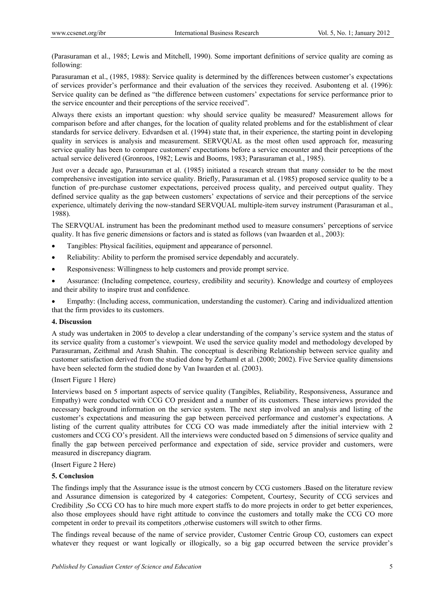(Parasuraman et al., 1985; Lewis and Mitchell, 1990). Some important definitions of service quality are coming as following:

Parasuraman et al., (1985, 1988): Service quality is determined by the differences between customer's expectations of services provider's performance and their evaluation of the services they received. Asubonteng et al. (1996): Service quality can be defined as "the difference between customers' expectations for service performance prior to the service encounter and their perceptions of the service received".

Always there exists an important question: why should service quality be measured? Measurement allows for comparison before and after changes, for the location of quality related problems and for the establishment of clear standards for service delivery. Edvardsen et al. (1994) state that, in their experience, the starting point in developing quality in services is analysis and measurement. SERVQUAL as the most often used approach for, measuring service quality has been to compare customers' expectations before a service encounter and their perceptions of the actual service delivered (Gronroos, 1982; Lewis and Booms, 1983; Parasuraman et al., 1985).

Just over a decade ago, Parasuraman et al. (1985) initiated a research stream that many consider to be the most comprehensive investigation into service quality. Briefly, Parasuraman et al. (1985) proposed service quality to be a function of pre-purchase customer expectations, perceived process quality, and perceived output quality. They defined service quality as the gap between customers' expectations of service and their perceptions of the service experience, ultimately deriving the now-standard SERVQUAL multiple-item survey instrument (Parasuraman et al., 1988).

The SERVQUAL instrument has been the predominant method used to measure consumers' perceptions of service quality. It has five generic dimensions or factors and is stated as follows (van Iwaarden et al., 2003):

- Tangibles: Physical facilities, equipment and appearance of personnel.
- Reliability: Ability to perform the promised service dependably and accurately.
- Responsiveness: Willingness to help customers and provide prompt service.

 Assurance: (Including competence, courtesy, credibility and security). Knowledge and courtesy of employees and their ability to inspire trust and confidence.

 Empathy: (Including access, communication, understanding the customer). Caring and individualized attention that the firm provides to its customers.

#### **4. Discussion**

A study was undertaken in 2005 to develop a clear understanding of the company's service system and the status of its service quality from a customer's viewpoint. We used the service quality model and methodology developed by Parasuraman, Zeithmal and Arash Shahin. The conceptual is describing Relationship between service quality and customer satisfaction derived from the studied done by Zethaml et al. (2000; 2002). Five Service quality dimensions have been selected form the studied done by Van Iwaarden et al. (2003).

#### (Insert Figure 1 Here)

Interviews based on 5 important aspects of service quality (Tangibles, Reliability, Responsiveness, Assurance and Empathy) were conducted with CCG CO president and a number of its customers. These interviews provided the necessary background information on the service system. The next step involved an analysis and listing of the customer's expectations and measuring the gap between perceived performance and customer's expectations. A listing of the current quality attributes for CCG CO was made immediately after the initial interview with 2 customers and CCG CO's president. All the interviews were conducted based on 5 dimensions of service quality and finally the gap between perceived performance and expectation of side, service provider and customers, were measured in discrepancy diagram.

#### (Insert Figure 2 Here)

### **5. Conclusion**

The findings imply that the Assurance issue is the utmost concern by CCG customers .Based on the literature review and Assurance dimension is categorized by 4 categories: Competent, Courtesy, Security of CCG services and Credibility ,So CCG CO has to hire much more expert staffs to do more projects in order to get better experiences, also those employees should have right attitude to convince the customers and totally make the CCG CO more competent in order to prevail its competitors ,otherwise customers will switch to other firms.

The findings reveal because of the name of service provider, Customer Centric Group CO, customers can expect whatever they request or want logically or illogically, so a big gap occurred between the service provider's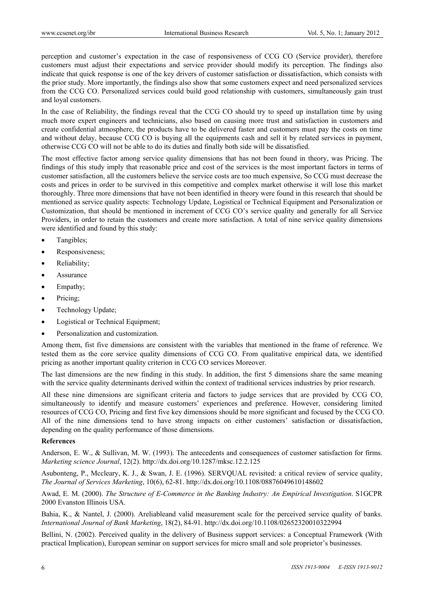perception and customer's expectation in the case of responsiveness of CCG CO (Service provider), therefore customers must adjust their expectations and service provider should modify its perception. The findings also indicate that quick response is one of the key drivers of customer satisfaction or dissatisfaction, which consists with the prior study. More importantly, the findings also show that some customers expect and need personalized services from the CCG CO. Personalized services could build good relationship with customers, simultaneously gain trust and loyal customers.

In the case of Reliability, the findings reveal that the CCG CO should try to speed up installation time by using much more expert engineers and technicians, also based on causing more trust and satisfaction in customers and create confidential atmosphere, the products have to be delivered faster and customers must pay the costs on time and without delay, because CCG CO is buying all the equipments cash and sell it by related services in payment, otherwise CCG CO will not be able to do its duties and finally both side will be dissatisfied.

The most effective factor among service quality dimensions that has not been found in theory, was Pricing. The findings of this study imply that reasonable price and cost of the services is the most important factors in terms of customer satisfaction, all the customers believe the service costs are too much expensive, So CCG must decrease the costs and prices in order to be survived in this competitive and complex market otherwise it will lose this market thoroughly. Three more dimensions that have not been identified in theory were found in this research that should be mentioned as service quality aspects: Technology Update, Logistical or Technical Equipment and Personalization or Customization, that should be mentioned in increment of CCG CO's service quality and generally for all Service Providers, in order to retain the customers and create more satisfaction. A total of nine service quality dimensions were identified and found by this study:

- Tangibles;
- Responsiveness;
- Reliability;
- Assurance
- Empathy;
- Pricing;
- Technology Update;
- Logistical or Technical Equipment;
- Personalization and customization.

Among them, fist five dimensions are consistent with the variables that mentioned in the frame of reference. We tested them as the core service quality dimensions of CCG CO. From qualitative empirical data, we identified pricing as another important quality criterion in CCG CO services Moreover.

The last dimensions are the new finding in this study. In addition, the first 5 dimensions share the same meaning with the service quality determinants derived within the context of traditional services industries by prior research.

All these nine dimensions are significant criteria and factors to judge services that are provided by CCG CO, simultaneously to identify and measure customers' experiences and preference. However, considering limited resources of CCG CO, Pricing and first five key dimensions should be more significant and focused by the CCG CO. All of the nine dimensions tend to have strong impacts on either customers' satisfaction or dissatisfaction, depending on the quality performance of those dimensions.

#### **References**

Anderson, E. W., & Sullivan, M. W. (1993). The antecedents and consequences of customer satisfaction for firms. *Marketing science Journal*, 12(2). http://dx.doi.org/10.1287/mksc.12.2.125

Asubonteng, P., Mccleary, K. J., & Swan, J. E. (1996). SERVQUAL revisited: a critical review of service quality, *The Journal of Services Marketing*, 10(6), 62-81. http://dx.doi.org/10.1108/08876049610148602

Awad, E. M. (2000). *The Structure of E-Commerce in the Banking Industry: An Empirical Investigation*. S1GCPR 2000 Evanston Illinois USA.

Bahia, K., & Nantel, J. (2000). Areliableand valid measurement scale for the perceived service quality of banks. *International Journal of Bank Marketing*, 18(2), 84-91. http://dx.doi.org/10.1108/02652320010322994

Bellini, N. (2002). Perceived quality in the delivery of Business support services: a Conceptual Framework (With practical Implication), European seminar on support services for micro small and sole proprietor's businesses.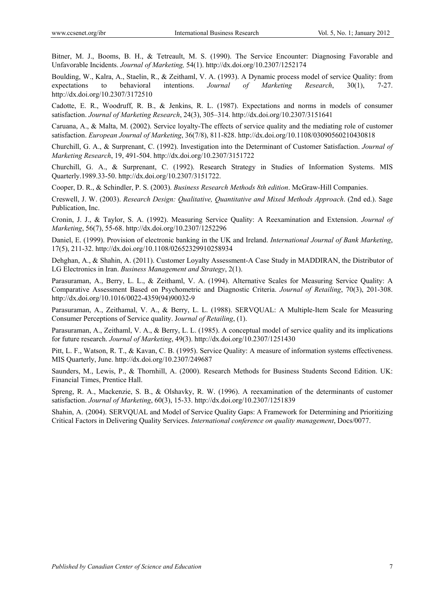Bitner, M. J., Booms, B. H., & Tetreault, M. S. (1990). The Service Encounter: Diagnosing Favorable and Unfavorable Incidents. *Journal of Marketing,* 54(1). http://dx.doi.org/10.2307/1252174

Boulding, W., Kalra, A., Staelin, R., & Zeithaml, V. A. (1993). A Dynamic process model of service Quality: from expectations to behavioral intentions. *Journal of Marketing Research*, 30(1), 7-27. http://dx.doi.org/10.2307/3172510

Cadotte, E. R., Woodruff, R. B., & Jenkins, R. L. (1987). Expectations and norms in models of consumer satisfaction. *Journal of Marketing Research*, 24(3), 305–314. http://dx.doi.org/10.2307/3151641

Caruana, A., & Malta, M. (2002). Service loyalty-The effects of service quality and the mediating role of customer satisfaction. *European Journal of Marketing*, 36(7/8), 811-828. http://dx.doi.org/10.1108/03090560210430818

Churchill, G. A., & Surprenant, C. (1992). Investigation into the Determinant of Customer Satisfaction. *Journal of Marketing Research*, 19, 491-504. http://dx.doi.org/10.2307/3151722

Churchill, G. A., & Surprenant, C. (1992). Research Strategy in Studies of Information Systems. MIS Quarterly.1989.33-50. http://dx.doi.org/10.2307/3151722.

Cooper, D. R., & Schindler, P. S. (2003). *Business Research Methods 8th edition*. McGraw-Hill Companies.

Creswell, J. W. (2003). *Research Design: Qualitative, Quantitative and Mixed Methods Approach*. (2nd ed.). Sage Publication, Inc.

Cronin, J. J., & Taylor, S. A. (1992). Measuring Service Quality: A Reexamination and Extension. *Journal of Marketing*, 56(7), 55-68. http://dx.doi.org/10.2307/1252296

Daniel, E. (1999). Provision of electronic banking in the UK and Ireland. *International Journal of Bank Marketing*, 17(5), 211-32. http://dx.doi.org/10.1108/02652329910258934

Dehghan, A., & Shahin, A. (2011). Customer Loyalty Assessment-A Case Study in MADDIRAN, the Distributor of LG Electronics in Iran. *Business Management and Strategy*, 2(1).

Parasuraman, A., Berry, L. L., & Zeithaml, V. A. (1994). Alternative Scales for Measuring Service Quality: A Comparative Assessment Based on Psychometric and Diagnostic Criteria. *Journal of Retailing*, 70(3), 201-308. http://dx.doi.org/10.1016/0022-4359(94)90032-9

Parasuraman, A., Zeithamal, V. A., & Berry, L. L. (1988). SERVQUAL: A Multiple-Item Scale for Measuring Consumer Perceptions of Service quality. J*ournal of Retailing*, (1).

Parasuraman, A., Zeithaml, V. A., & Berry, L. L. (1985). A conceptual model of service quality and its implications for future research. *Journal of Marketing*, 49(3). http://dx.doi.org/10.2307/1251430

Pitt, L. F., Watson, R. T., & Kavan, C. B. (1995). Service Quality: A measure of information systems effectiveness. MIS Quarterly, June. http://dx.doi.org/10.2307/249687

Saunders, M., Lewis, P., & Thornhill, A. (2000). Research Methods for Business Students Second Edition. UK: Financial Times, Prentice Hall.

Spreng, R. A., Mackenzie, S. B., & Olshavky, R. W. (1996). A reexamination of the determinants of customer satisfaction. *Journal of Marketing*, 60(3), 15-33. http://dx.doi.org/10.2307/1251839

Shahin, A. (2004). SERVQUAL and Model of Service Quality Gaps: A Framework for Determining and Prioritizing Critical Factors in Delivering Quality Services. *International conference on quality management*, Docs/0077.